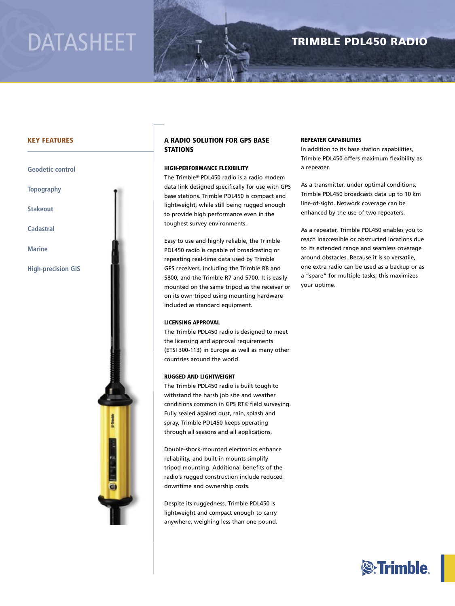# DATASHEET

### TRIMBLE PDL450 RADIO

**START AND A START OF A START OF A START OF A START** 

#### KEY FEATURES

#### **Geodetic control**

**Topography**

**Stakeout**

**Cadastral**

**Marine**

**High-precision GIS**



#### A RADIO SOLUTION FOR GPS BASE **STATIONS**

#### HIGH-PERFORMANCE FLEXIBILITY

The Trimble® PDL450 radio is a radio modem data link designed specifically for use with GPS base stations. Trimble PDL450 is compact and lightweight, while still being rugged enough to provide high performance even in the toughest survey environments.

Easy to use and highly reliable, the Trimble PDL450 radio is capable of broadcasting or repeating real-time data used by Trimble GPS receivers, including the Trimble R8 and 5800, and the Trimble R7 and 5700. It is easily mounted on the same tripod as the receiver or on its own tripod using mounting hardware included as standard equipment.

#### LICENSING APPROVAL

The Trimble PDL450 radio is designed to meet the licensing and approval requirements (ETSI 300-113) in Europe as well as many other countries around the world.

#### RUGGED AND LIGHTWEIGHT

The Trimble PDL450 radio is built tough to withstand the harsh job site and weather conditions common in GPS RTK field surveying. Fully sealed against dust, rain, splash and spray, Trimble PDL450 keeps operating through all seasons and all applications.

Double-shock-mounted electronics enhance reliability, and built-in mounts simplify tripod mounting. Additional benefits of the radio's rugged construction include reduced downtime and ownership costs.

Despite its ruggedness, Trimble PDL450 is lightweight and compact enough to carry anywhere, weighing less than one pound.

#### REPEATER CAPABILITIES

In addition to its base station capabilities, Trimble PDL450 offers maximum flexibility as a repeater.

As a transmitter, under optimal conditions, Trimble PDL450 broadcasts data up to 10 km line-of-sight. Network coverage can be enhanced by the use of two repeaters.

As a repeater, Trimble PDL450 enables you to reach inaccessible or obstructed locations due to its extended range and seamless coverage around obstacles. Because it is so versatile, one extra radio can be used as a backup or as <sup>a</sup>"spare" for multiple tasks; this maximizes your uptime.